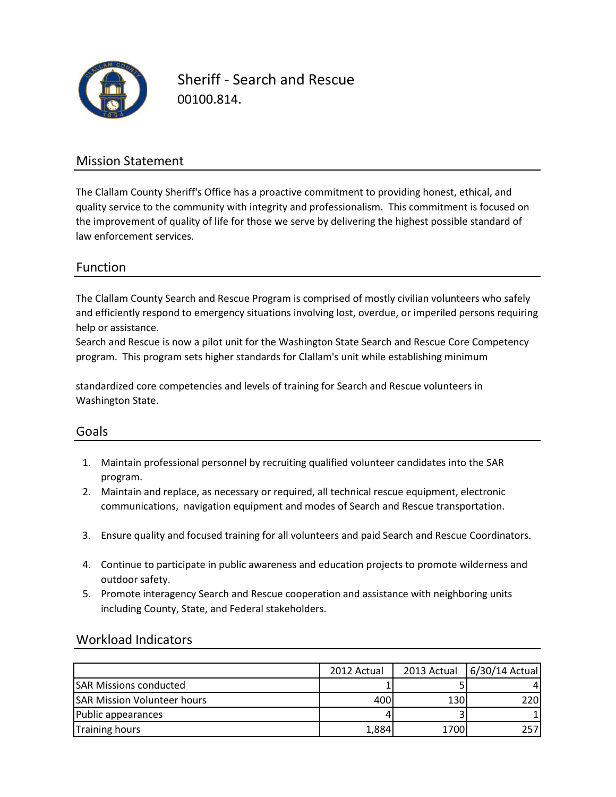

Sheriff - Search and Rescue 00100.814.

### Mission Statement

The Clallam County Sheriff's Office has a proactive commitment to providing honest, ethical, and quality service to the community with integrity and professionalism. This commitment is focused on the improvement of quality of life for those we serve by delivering the highest possible standard of law enforcement services.

#### Function

The Clallam County Search and Rescue Program is comprised of mostly civilian volunteers who safely and efficiently respond to emergency situations involving lost, overdue, or imperiled persons requiring help or assistance.

Search and Rescue is now a pilot unit for the Washington State Search and Rescue Core Competency program. This program sets higher standards for Clallam's unit while establishing minimum

standardized core competencies and levels of training for Search and Rescue volunteers in Washington State.

#### Goals

- 1. Maintain professional personnel by recruiting qualified volunteer candidates into the SAR program.
- 2. Maintain and replace, as necessary or required, all technical rescue equipment, electronic communications, navigation equipment and modes of Search and Rescue transportation.
- 3. Ensure quality and focused training for all volunteers and paid Search and Rescue Coordinators.
- 4. Continue to participate in public awareness and education projects to promote wilderness and outdoor safety.
- 5. Promote interagency Search and Rescue cooperation and assistance with neighboring units including County, State, and Federal stakeholders.

#### Workload Indicators

|                                    | 2012 Actual | 2013 Actual | 6/30/14 Actual |
|------------------------------------|-------------|-------------|----------------|
| <b>SAR Missions conducted</b>      |             |             |                |
| <b>SAR Mission Volunteer hours</b> | 400         | 130         | 220            |
| Public appearances                 |             |             |                |
| <b>Training hours</b>              | 1,884       | 1700        | 257            |